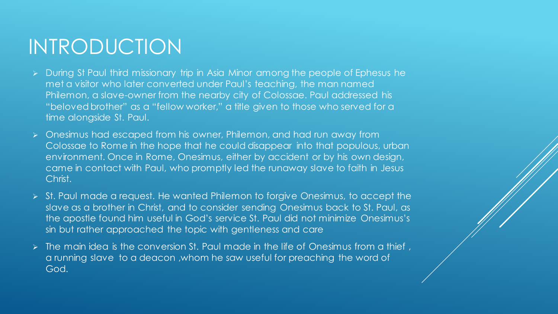## INTRODUCTION

- ➢ During St Paul third missionary trip in Asia Minor among the people of Ephesus he met a visitor who later converted under Paul's teaching, the man named Philemon, a slave-owner from the nearby city of Colossae. Paul addressed his "beloved brother" as a "fellow worker," a title given to those who served for a time alongside St. Paul.
- ➢ Onesimus had escaped from his owner, Philemon, and had run away from Colossae to Rome in the hope that he could disappear into that populous, urban environment. Once in Rome, Onesimus, either by accident or by his own design, came in contact with Paul, who promptly led the runaway slave to faith in Jesus Christ.
- ➢ St. Paul made a request. He wanted Philemon to forgive Onesimus, to accept the slave as a brother in Christ, and to consider sending Onesimus back to St. Paul, as the apostle found him useful in God's service St. Paul did not minimize Onesimus's sin but rather approached the topic with gentleness and care
- The main idea is the conversion St. Paul made in the life of Onesimus from a thief, a running slave to a deacon ,whom he saw useful for preaching the word of God.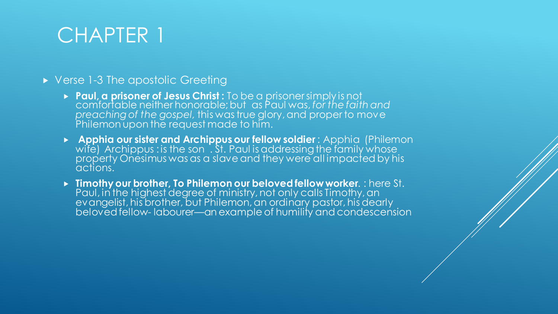#### ▶ Verse 1-3 The apostolic Greeting

- **Paul, a prisoner of Jesus Christ :** To be a prisoner simply is not comfortable neither honorable; but as Paul was, *for the faith and preaching of the gospel,* this was true glory, and proper to move Philemon upon the request made to him.
- **Apphia our sister and Archippus our fellow soldier** : Apphia (Philemon wife) Archippus : is the son  $\dot{\;}$  St. Paul is addressing the family whose property Onesimus was as a slave and they were all impacted by his actions.
- **Timothy our brother, To Philemon our beloved fellow worker**. : here St. Paul, in the highest degree of ministry, not only calls Timothy, an evangelist, his brother, but Philemon, an ordinary pastor, his dearly beloved fellow- labourer—an example of humility and condescension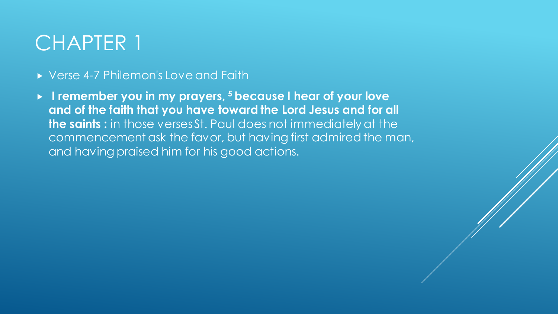#### ▶ Verse 4-7 Philemon's Love and Faith

 **I remember you in my prayers, <sup>5</sup> because I hear of your love and of the faith that you have toward the Lord Jesus and for all the saints :** in those verses St. Paul does not immediately at the commencement ask the favor, but having first admired the man, and having praised him for his good actions.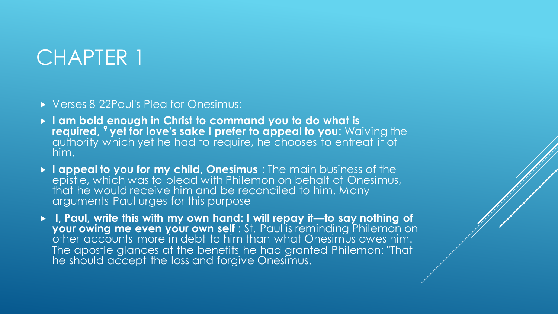Verses 8-22Paul's Plea for Onesimus:

- **I am bold enough in Christ to command you to do what is required, <sup>9</sup> yet for love's sake I prefer to appeal to you**: Waiving the authority which yet he had to require, he chooses to entreat it of him.
- **I appeal to you for my child, Onesimus** : The main business of the epistle, which was to plead with Philemon on behalf of Onesimus, that he would receive him and be reconciled to him. Many arguments Paul urges for this purpose
- **I, Paul, write this with my own hand: I will repay it—to say nothing of your owing me even your own self** : St. Paul is reminding Philemon on other accounts more in debt to him than what Onesimus owes him. The apostle glances at the benefits he had granted Philemon: "That he should accept the loss and forgive Onesimus.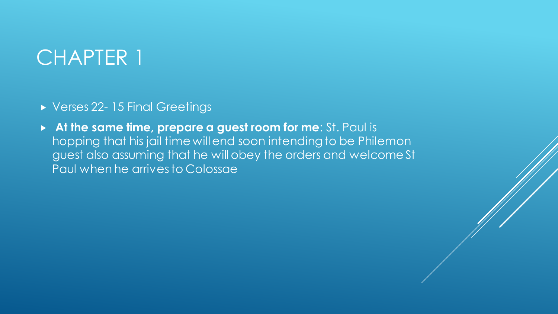- ▶ Verses 22-15 Final Greetings
- **At the same time, prepare a guest room for me**: St. Paul is hopping that his jail time will end soon intending to be Philemon guest also assuming that he will obey the orders and welcome St Paul when he arrives to Colossae